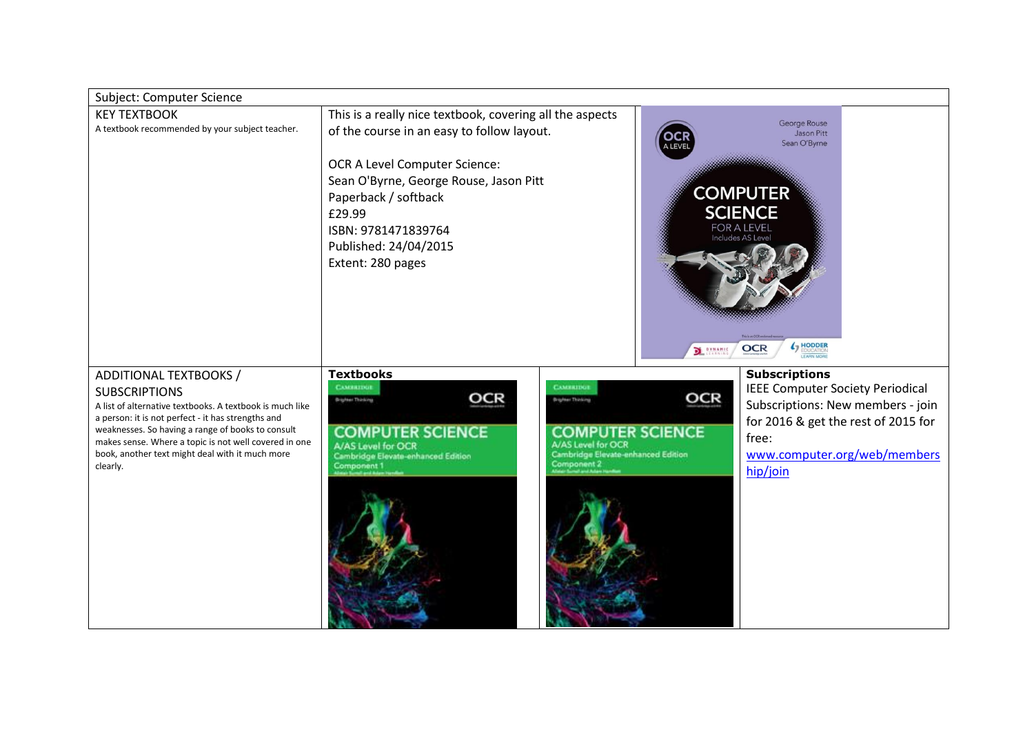| Subject: Computer Science                                                                                                                                                                                                                                                                                                                     |                                                                                                                                                                                                                                                                                                                               |                                                                                                           |                                                                                                                                                                                                  |  |
|-----------------------------------------------------------------------------------------------------------------------------------------------------------------------------------------------------------------------------------------------------------------------------------------------------------------------------------------------|-------------------------------------------------------------------------------------------------------------------------------------------------------------------------------------------------------------------------------------------------------------------------------------------------------------------------------|-----------------------------------------------------------------------------------------------------------|--------------------------------------------------------------------------------------------------------------------------------------------------------------------------------------------------|--|
| <b>KEY TEXTBOOK</b><br>A textbook recommended by your subject teacher.                                                                                                                                                                                                                                                                        | This is a really nice textbook, covering all the aspects<br>of the course in an easy to follow layout.<br><b>ALEVE</b><br>OCR A Level Computer Science:<br>Sean O'Byrne, George Rouse, Jason Pitt<br>Paperback / softback<br>£29.99<br>ISBN: 9781471839764<br>Published: 24/04/2015<br>Extent: 280 pages<br><b>DE DYNAMIC</b> |                                                                                                           | George Rouse<br>Jason Pitt<br>Sean O'Byrne<br><b>COMPUTER</b><br><b>SCIENCE</b><br>FOR A LEVEL<br>Includes AS Level<br>( HODDER<br><b>OCR</b>                                                    |  |
| ADDITIONAL TEXTBOOKS /<br><b>SUBSCRIPTIONS</b><br>A list of alternative textbooks. A textbook is much like<br>a person: it is not perfect - it has strengths and<br>weaknesses. So having a range of books to consult<br>makes sense. Where a topic is not well covered in one<br>book, another text might deal with it much more<br>clearly. | <b>Textbooks</b><br>CAMBIOLI<br>CAMBUDU<br>OCR<br>Brighter Thinking<br><b>Brighter Thinking</b><br><b>COMPUTER SCIENCE</b><br>A/AS Level for OCR<br>Cambridge Elevate-enhanced Edition<br>Component 1                                                                                                                         | OCR<br><b>COMPUTER SCIENCE</b><br>A/AS Level for OCR<br>Cambridge Elevate-enhanced Edition<br>Component 2 | <b>Subscriptions</b><br><b>IEEE Computer Society Periodical</b><br>Subscriptions: New members - join<br>for 2016 & get the rest of 2015 for<br>free:<br>www.computer.org/web/members<br>hip/join |  |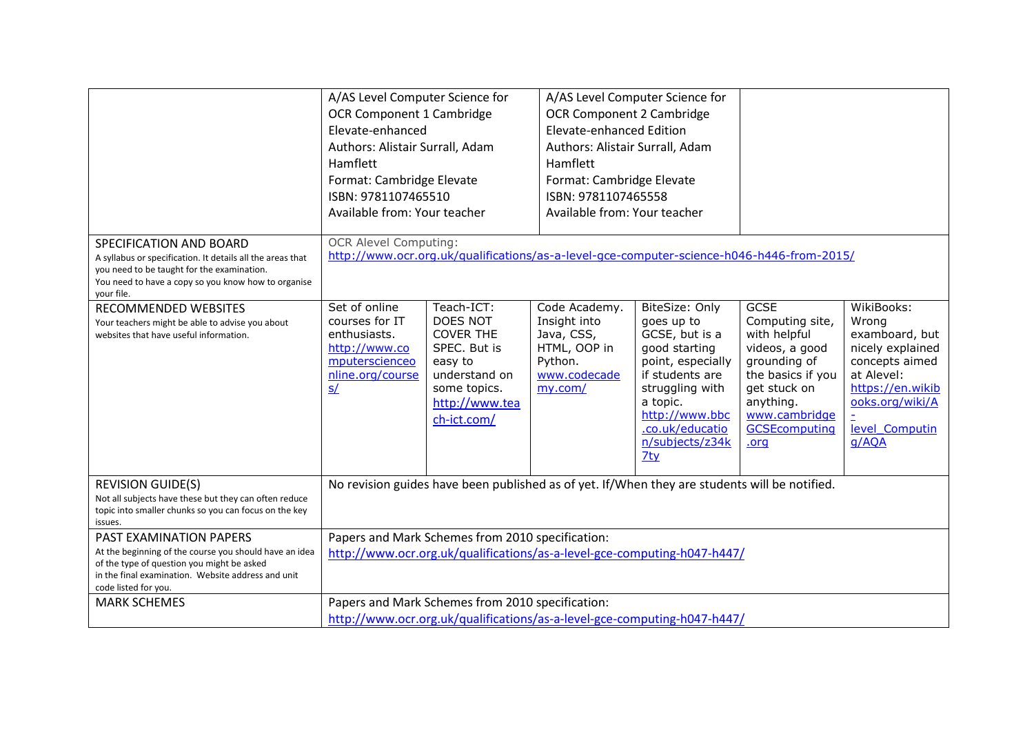|                                                                                                                                                                                                                      | A/AS Level Computer Science for<br>OCR Component 1 Cambridge<br>Elevate-enhanced<br>Authors: Alistair Surrall, Adam<br>Hamflett<br>Format: Cambridge Elevate<br>ISBN: 9781107465510<br>Available from: Your teacher |                                                                                                                                                | <b>OCR Component 2 Cambridge</b><br><b>Elevate-enhanced Edition</b><br>Authors: Alistair Surrall, Adam<br>Hamflett<br>Format: Cambridge Elevate<br>ISBN: 9781107465558<br>Available from: Your teacher | A/AS Level Computer Science for                                                                                                                                                                      |                                                                                                                                                                                     |                                                                                                                                                             |
|----------------------------------------------------------------------------------------------------------------------------------------------------------------------------------------------------------------------|---------------------------------------------------------------------------------------------------------------------------------------------------------------------------------------------------------------------|------------------------------------------------------------------------------------------------------------------------------------------------|--------------------------------------------------------------------------------------------------------------------------------------------------------------------------------------------------------|------------------------------------------------------------------------------------------------------------------------------------------------------------------------------------------------------|-------------------------------------------------------------------------------------------------------------------------------------------------------------------------------------|-------------------------------------------------------------------------------------------------------------------------------------------------------------|
| SPECIFICATION AND BOARD<br>A syllabus or specification. It details all the areas that<br>you need to be taught for the examination.<br>You need to have a copy so you know how to organise<br>vour file.             | <b>OCR Alevel Computing:</b>                                                                                                                                                                                        |                                                                                                                                                |                                                                                                                                                                                                        | http://www.ocr.org.uk/qualifications/as-a-level-gce-computer-science-h046-h446-from-2015/                                                                                                            |                                                                                                                                                                                     |                                                                                                                                                             |
| RECOMMENDED WEBSITES<br>Your teachers might be able to advise you about<br>websites that have useful information.                                                                                                    | Set of online<br>courses for IT<br>enthusiasts.<br>http://www.co<br>mputerscienceo<br>nline.org/course<br>S/                                                                                                        | Teach-ICT:<br><b>DOES NOT</b><br><b>COVER THE</b><br>SPEC. But is<br>easy to<br>understand on<br>some topics.<br>http://www.tea<br>ch-ict.com/ | Code Academy.<br>Insight into<br>Java, CSS,<br>HTML, OOP in<br>Python.<br>www.codecade<br>my.com/                                                                                                      | BiteSize: Only<br>goes up to<br>GCSE, but is a<br>good starting<br>point, especially<br>if students are<br>struggling with<br>a topic.<br>http://www.bbc<br>.co.uk/educatio<br>n/subjects/z34k<br>7t | <b>GCSE</b><br>Computing site,<br>with helpful<br>videos, a good<br>grounding of<br>the basics if you<br>get stuck on<br>anything.<br>www.cambridge<br><b>GCSEcomputing</b><br>.org | WikiBooks:<br>Wrong<br>examboard, but<br>nicely explained<br>concepts aimed<br>at Alevel:<br>https://en.wikib<br>ooks.org/wiki/A<br>level Computin<br>q/AQA |
| <b>REVISION GUIDE(S)</b><br>Not all subjects have these but they can often reduce<br>topic into smaller chunks so you can focus on the key<br>issues.                                                                | No revision guides have been published as of yet. If/When they are students will be notified.                                                                                                                       |                                                                                                                                                |                                                                                                                                                                                                        |                                                                                                                                                                                                      |                                                                                                                                                                                     |                                                                                                                                                             |
| <b>PAST EXAMINATION PAPERS</b><br>At the beginning of the course you should have an idea<br>of the type of question you might be asked<br>in the final examination. Website address and unit<br>code listed for you. | Papers and Mark Schemes from 2010 specification:<br>http://www.ocr.org.uk/qualifications/as-a-level-gce-computing-h047-h447/                                                                                        |                                                                                                                                                |                                                                                                                                                                                                        |                                                                                                                                                                                                      |                                                                                                                                                                                     |                                                                                                                                                             |
| <b>MARK SCHEMES</b>                                                                                                                                                                                                  | Papers and Mark Schemes from 2010 specification:<br>http://www.ocr.org.uk/qualifications/as-a-level-gce-computing-h047-h447/                                                                                        |                                                                                                                                                |                                                                                                                                                                                                        |                                                                                                                                                                                                      |                                                                                                                                                                                     |                                                                                                                                                             |